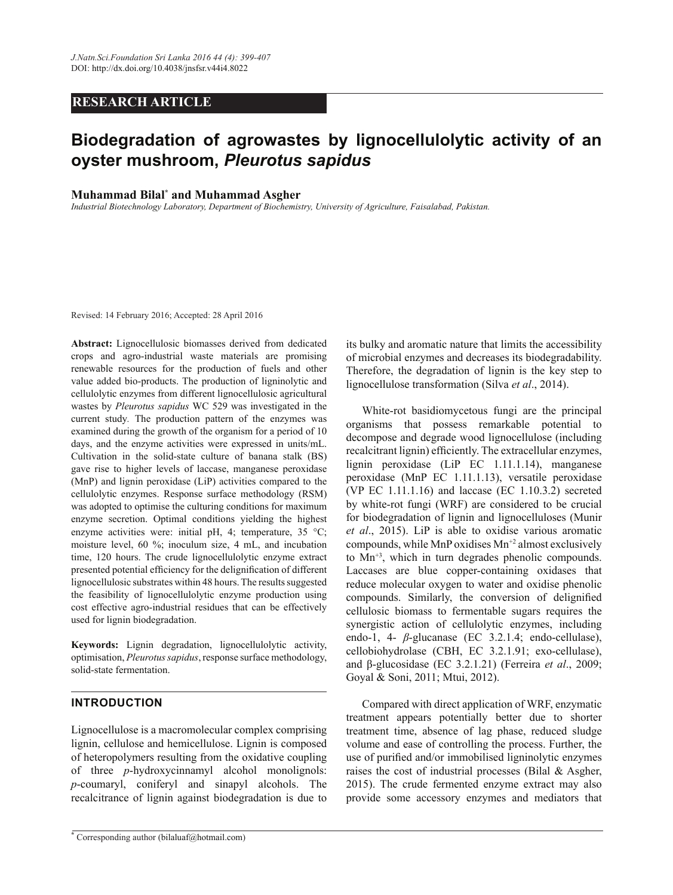# *RESEARCH ARTICLE*

# Biodegradation of agrowastes by lignocellulolytic activity of an **R\VWHUPXVKURRP***Pleurotus sapidus*

# **Muhammad Bilal<sup>\*</sup> and Muhammad Asgher**

*Industrial Biotechnology Laboratory, Department of Biochemistry, University of Agriculture, Faisalabad, Pakistan.* 

Revised: 14 February 2016; Accepted: 28 April 2016

Abstract: Lignocellulosic biomasses derived from dedicated crops and agro-industrial waste materials are promising renewable resources for the production of fuels and other value added bio-products. The production of ligninolytic and cellulolytic enzymes from different lignocellulosic agricultural wastes by *Pleurotus sapidus* WC 529 was investigated in the current study*.* The production pattern of the enzymes was examined during the growth of the organism for a period of 10 days, and the enzyme activities were expressed in units/mL. Cultivation in the solid-state culture of banana stalk (BS) gave rise to higher levels of laccase, manganese peroxidase (MnP) and lignin peroxidase (LiP) activities compared to the cellulolytic enzymes. Response surface methodology (RSM) was adopted to optimise the culturing conditions for maximum enzyme secretion. Optimal conditions yielding the highest enzyme activities were: initial pH, 4; temperature, 35 °C; moisture level, 60 %; inoculum size, 4 mL, and incubation time, 120 hours. The crude lignocellulolytic enzyme extract presented potential efficiency for the delignification of different lignocellulosic substrates within 48 hours. The results suggested the feasibility of lignocellulolytic enzyme production using cost effective agro-industrial residues that can be effectively used for lignin biodegradation.

Keywords: Lignin degradation, lignocellulolytic activity, optimisation, *Pleurotus sapidus*, response surface methodology, solid-state fermentation.

# **INTRODUCTION**

Lignocellulose is a macromolecular complex comprising lignin, cellulose and hemicellulose. Lignin is composed of heteropolymers resulting from the oxidative coupling of three *p*-hydroxycinnamyl alcohol monolignols: *p*-coumaryl, coniferyl and sinapyl alcohols. The recalcitrance of lignin against biodegradation is due to its bulky and aromatic nature that limits the accessibility of microbial enzymes and decreases its biodegradability. Therefore, the degradation of lignin is the key step to lignocellulose transformation (Silva *et al*., 2014).

 White-rot basidiomycetous fungi are the principal organisms that possess remarkable potential to decompose and degrade wood lignocellulose (including recalcitrant lignin) efficiently. The extracellular enzymes, lignin peroxidase (LiP EC 1.11.1.14), manganese peroxidase (MnP EC 1.11.1.13), versatile peroxidase (VP EC 1.11.1.16) and laccase (EC 1.10.3.2) secreted by white-rot fungi (WRF) are considered to be crucial for biodegradation of lignin and lignocelluloses (Munir *et al*., 2015). LiP is able to oxidise various aromatic compounds, while MnP oxidises  $Mn^{2}$  almost exclusively to Mn+3, which in turn degrades phenolic compounds. Laccases are blue copper-containing oxidases that reduce molecular oxygen to water and oxidise phenolic compounds. Similarly, the conversion of delignified cellulosic biomass to fermentable sugars requires the synergistic action of cellulolytic enzymes, including endo-1, 4- *ȕ*-glucanase (EC 3.2.1.4; endo-cellulase), cellobiohydrolase (CBH, EC 3.2.1.91; exo-cellulase), and  $\beta$ -glucosidase (EC 3.2.1.21) (Ferreira et al., 2009; Goyal & Soni, 2011; Mtui, 2012).

 Compared with direct application of WRF, enzymatic treatment appears potentially better due to shorter treatment time, absence of lag phase, reduced sludge volume and ease of controlling the process. Further, the use of purified and/or immobilised ligninolytic enzymes raises the cost of industrial processes (Bilal & Asgher, 2015). The crude fermented enzyme extract may also provide some accessory enzymes and mediators that

**<sup>\*</sup>** Corresponding author (bilaluaf@hotmail.com)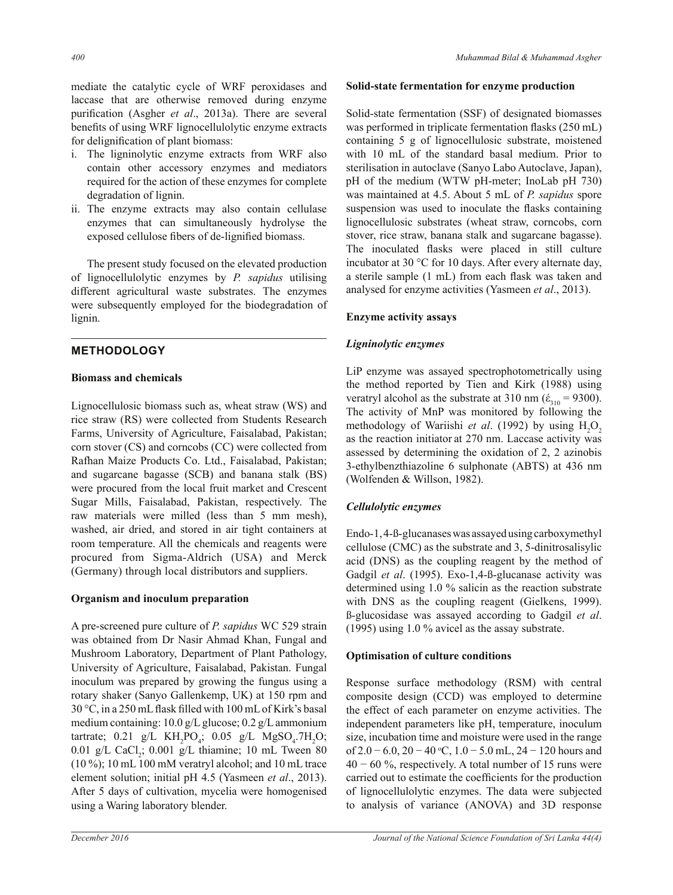- i. The ligninolytic enzyme extracts from WRF also contain other accessory enzymes and mediators required for the action of these enzymes for complete degradation of lignin.
- ii. The enzyme extracts may also contain cellulase enzymes that can simultaneously hydrolyse the exposed cellulose fibers of de-lignified biomass.

 The present study focused on the elevated production of lignocellulolytic enzymes by *P. sapidus* utilising different agricultural waste substrates. The enzymes were subsequently employed for the biodegradation of lignin.

# **METHODOLOGY**

### **Biomass and chemicals**

Lignocellulosic biomass such as, wheat straw (WS) and rice straw (RS) were collected from Students Research Farms, University of Agriculture, Faisalabad, Pakistan; corn stover (CS) and corncobs (CC) were collected from Rafhan Maize Products Co. Ltd., Faisalabad, Pakistan; and sugarcane bagasse (SCB) and banana stalk (BS) were procured from the local fruit market and Crescent Sugar Mills, Faisalabad, Pakistan, respectively. The raw materials were milled (less than 5 mm mesh), washed, air dried, and stored in air tight containers at room temperature. All the chemicals and reagents were procured from Sigma-Aldrich (USA) and Merck (Germany) through local distributors and suppliers.

# **Organism and inoculum preparation**

A pre-screened pure culture of *P. sapidus* WC 529 strain was obtained from Dr Nasir Ahmad Khan, Fungal and Mushroom Laboratory, Department of Plant Pathology, University of Agriculture, Faisalabad, Pakistan. Fungal inoculum was prepared by growing the fungus using a rotary shaker (Sanyo Gallenkemp, UK) at 150 rpm and 30 °C, in a 250 mL flask filled with 100 mL of Kirk's basal medium containing: 10.0 g/L glucose; 0.2 g/L ammonium tartrate; 0.21 g/L  $KH_2PO_4$ ; 0.05 g/L  $MgSO_4$ .7H<sub>2</sub>O;  $0.01$  g/L CaCl<sub>2</sub>;  $0.001$  g/L thiamine; 10 mL Tween 80 (10 %); 10 mL 100 mM veratryl alcohol; and 10 mL trace element solution; initial pH 4.5 (Yasmeen *et al*., 2013). After 5 days of cultivation, mycelia were homogenised using a Waring laboratory blender.

#### **Solid-state fermentation for enzyme production**

Solid-state fermentation (SSF) of designated biomasses was performed in triplicate fermentation flasks (250 mL) containing 5 g of lignocellulosic substrate, moistened with 10 mL of the standard basal medium. Prior to sterilisation in autoclave (Sanyo Labo Autoclave, Japan), pH of the medium (WTW pH-meter; InoLab pH 730) was maintained at 4.5. About 5 mL of *P. sapidus* spore suspension was used to inoculate the flasks containing lignocellulosic substrates (wheat straw, corncobs, corn stover, rice straw, banana stalk and sugarcane bagasse). The inoculated flasks were placed in still culture incubator at 30 °C for 10 days. After every alternate day, a sterile sample (1 mL) from each flask was taken and analysed for enzyme activities (Yasmeen *et al*., 2013).

### **Enzyme activity assays**

### *Ligninolytic enzymes*

LiP enzyme was assayed spectrophotometrically using the method reported by Tien and Kirk (1988) using veratryl alcohol as the substrate at 310 nm ( $\dot{\epsilon}_{310}$  = 9300). The activity of MnP was monitored by following the methodology of Wariishi *et al.* (1992) by using H<sub>2</sub>O<sub>2</sub> as the reaction initiator at 270 nm. Laccase activity was assessed by determining the oxidation of 2, 2 azinobis 3-ethylbenzthiazoline 6 sulphonate (ABTS) at 436 nm (Wolfenden & Willson, 1982).

# *Cellulolytic enzymes*

Endo-1, 4-ß-glucanases was assayed using carboxymethyl cellulose (CMC) as the substrate and 3, 5-dinitrosalisylic acid (DNS) as the coupling reagent by the method of Gadgil *et al*. (1995). Exo-1,4-ß-glucanase activity was determined using 1.0 % salicin as the reaction substrate with DNS as the coupling reagent (Gielkens, 1999). ß-glucosidase was assayed according to Gadgil *et al*. (1995) using 1.0 % avicel as the assay substrate.

# **2DE Optimisation of culture conditions**

Response surface methodology (RSM) with central composite design (CCD) was employed to determine the effect of each parameter on enzyme activities. The independent parameters like pH, temperature, inoculum size, incubation time and moisture were used in the range of  $2.0 - 6.0$ ,  $20 - 40$  °C,  $1.0 - 5.0$  mL,  $24 - 120$  hours and  $40 - 60\%$ , respectively. A total number of 15 runs were carried out to estimate the coefficients for the production of lignocellulolytic enzymes. The data were subjected to analysis of variance (ANOVA) and 3D response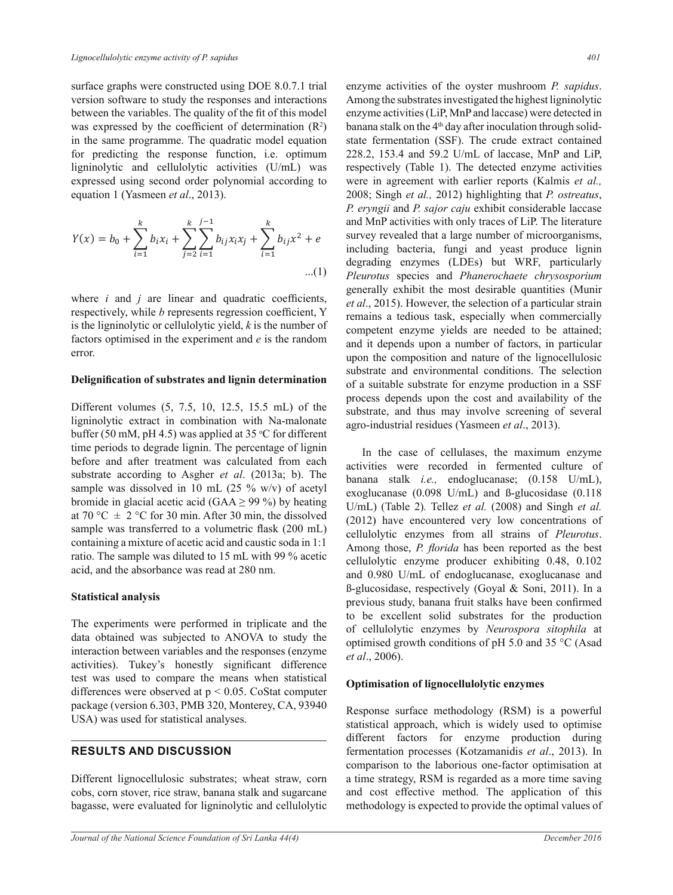surface graphs were constructed using DOE 8.0.7.1 trial version software to study the responses and interactions between the variables. The quality of the fit of this model was expressed by the coefficient of determination  $(R^2)$ in the same programme. The quadratic model equation for predicting the response function, i.e. optimum ligninolytic and cellulolytic activities (U/mL) was expressed using second order polynomial according to equation 1 (Yasmeen *et al*., 2013).

$$
Y(x) = b_0 + \sum_{i=1}^{k} b_i x_i + \sum_{j=2}^{k} \sum_{i=1}^{j-1} b_{ij} x_i x_j + \sum_{i=1}^{k} b_{ij} x^2 + e
$$
...(1)

where  $i$  and  $j$  are linear and quadratic coefficients, respectively, while *b* represents regression coefficient, Y is the ligninolytic or cellulolytic yield, *k* is the number of factors optimised in the experiment and *e* is the random error.

#### Delignification of substrates and lignin determination

Different volumes (5, 7.5, 10, 12.5, 15.5 mL) of the ligninolytic extract in combination with Na-malonate buffer (50 mM, pH 4.5) was applied at 35  $\degree$ C for different time periods to degrade lignin. The percentage of lignin before and after treatment was calculated from each substrate according to Asgher *et al*. (2013a; b). The sample was dissolved in 10 mL  $(25 \% \text{ w/v})$  of acetyl bromide in glacial acetic acid (GAA  $\geq$  99 %) by heating at 70 °C  $\pm$  2 °C for 30 min. After 30 min, the dissolved sample was transferred to a volumetric flask (200 mL) containing a mixture of acetic acid and caustic soda in 1:1 ratio. The sample was diluted to 15 mL with 99 % acetic acid, and the absorbance was read at 280 nm.

#### **Statistical analysis**

The experiments were performed in triplicate and the data obtained was subjected to ANOVA to study the interaction between variables and the responses (enzyme activities). Tukey's honestly significant difference test was used to compare the means when statistical differences were observed at  $p < 0.05$ . CoStat computer package (version 6.303, PMB 320, Monterey, CA, 93940 USA) was used for statistical analyses.

#### **RESULTS AND DISCUSSION**

Different lignocellulosic substrates; wheat straw, corn cobs, corn stover, rice straw, banana stalk and sugarcane bagasse, were evaluated for ligninolytic and cellulolytic enzyme activities of the oyster mushroom *P. sapidus*. Among the substrates investigated the highest ligninolytic enzyme activities (LiP, MnP and laccase) were detected in banana stalk on the 4<sup>th</sup> day after inoculation through solidstate fermentation (SSF). The crude extract contained 228.2, 153.4 and 59.2 U/mL of laccase, MnP and LiP, respectively (Table 1). The detected enzyme activities were in agreement with earlier reports (Kalmis *et al.,* 2008; Singh *et al.,* 2012) highlighting that *P. ostreatus*, *P. eryngii* and *P. sajor caju* exhibit considerable laccase and MnP activities with only traces of LiP. The literature survey revealed that a large number of microorganisms, including bacteria, fungi and yeast produce lignin degrading enzymes (LDEs) but WRF, particularly *Pleurotus* species and *Phanerochaete chrysosporium*  generally exhibit the most desirable quantities (Munir *et al*., 2015). However, the selection of a particular strain remains a tedious task, especially when commercially competent enzyme yields are needed to be attained; and it depends upon a number of factors, in particular upon the composition and nature of the lignocellulosic substrate and environmental conditions. The selection of a suitable substrate for enzyme production in a SSF process depends upon the cost and availability of the substrate, and thus may involve screening of several agro-industrial residues (Yasmeen *et al*., 2013).

 In the case of cellulases, the maximum enzyme activities were recorded in fermented culture of banana stalk *i.e.,* endoglucanase; (0.158 U/mL), exoglucanase (0.098 U/mL) and ß-glucosidase (0.118 U/mL) (Table 2)*.* Tellez *et al.* (2008) and Singh *et al.* (2012) have encountered very low concentrations of cellulolytic enzymes from all strains of *Pleurotus*. Among those, *P. florida* has been reported as the best cellulolytic enzyme producer exhibiting 0.48, 0.102 and 0.980 U/mL of endoglucanase, exoglucanase and ß-glucosidase, respectively (Goyal & Soni, 2011). In a previous study, banana fruit stalks have been confirmed to be excellent solid substrates for the production of cellulolytic enzymes by *Neurospora sitophila* at optimised growth conditions of pH 5.0 and 35 °C (Asad *et al*., 2006).

#### Optimisation of lignocellulolytic enzymes

Response surface methodology (RSM) is a powerful statistical approach, which is widely used to optimise different factors for enzyme production during fermentation processes (Kotzamanidis *et al*., 2013). In comparison to the laborious one-factor optimisation at a time strategy, RSM is regarded as a more time saving and cost effective method. The application of this methodology is expected to provide the optimal values of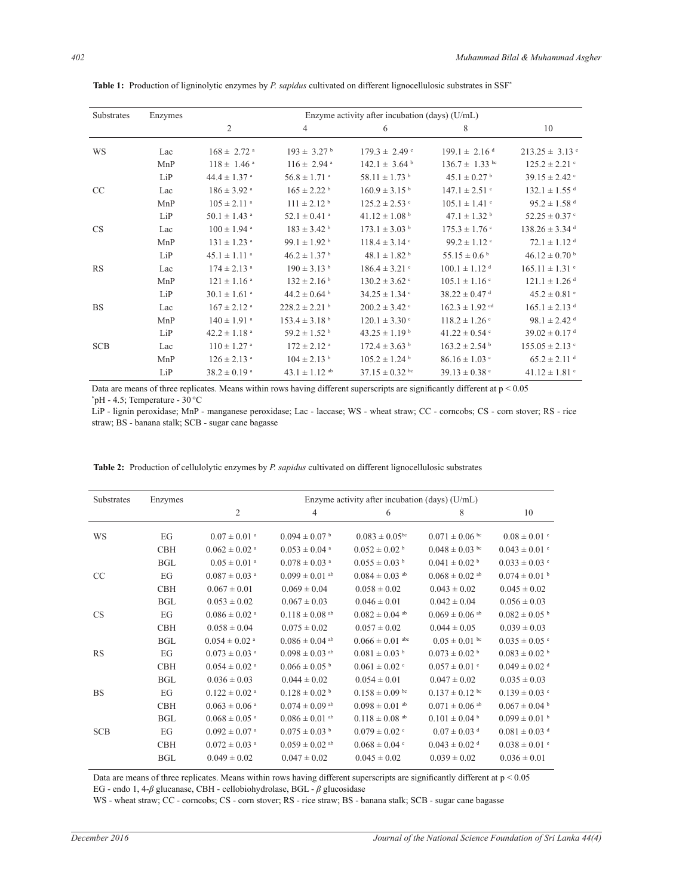| Substrates    | Enzymes | Enzyme activity after incubation (days) (U/mL) |                               |                               |                                |                                |  |  |  |  |
|---------------|---------|------------------------------------------------|-------------------------------|-------------------------------|--------------------------------|--------------------------------|--|--|--|--|
|               |         | $\overline{2}$                                 | $\overline{4}$                | 6                             | 8                              | 10                             |  |  |  |  |
| WS            | Lac     | $168 \pm 2.72$ <sup>a</sup>                    | $193 \pm 3.27^{\mathrm{b}}$   | $179.3 \pm 2.49$ °            | $199.1 \pm 2.16$ <sup>d</sup>  | $213.25 \pm 3.13$ e            |  |  |  |  |
|               | MnP     | $118 \pm 1.46$ <sup>a</sup>                    | $116 \pm 2.94$ <sup>a</sup>   | $142.1 \pm 3.64$ <sup>b</sup> | $136.7 \pm 1.33$ bc            | $125.2 \pm 2.21$ c             |  |  |  |  |
|               | LiP     | $44.4 \pm 1.37$ <sup>a</sup>                   | $56.8 \pm 1.71$ <sup>a</sup>  | $58.11 \pm 1.73$ <sup>b</sup> | $45.1 \pm 0.27$ <sup>b</sup>   | $39.15 \pm 2.42$               |  |  |  |  |
| <sub>CC</sub> | Lac     | $186 \pm 3.92$ <sup>a</sup>                    | $165 \pm 2.22^{\mathrm{b}}$   | $160.9 \pm 3.15^{b}$          | $147.1 \pm 2.51$ c             | $132.1 \pm 1.55$ <sup>d</sup>  |  |  |  |  |
|               | MnP     | $105 \pm 2.11$ <sup>a</sup>                    | $111 \pm 2.12$ <sup>b</sup>   | $125.2 \pm 2.53$ c            | $105.1 \pm 1.41$ c             | $95.2 \pm 1.58$ <sup>d</sup>   |  |  |  |  |
|               | LiP     | $50.1 \pm 1.43$ <sup>a</sup>                   | $52.1 \pm 0.41$ <sup>a</sup>  | $41.12 \pm 1.08$ <sup>b</sup> | $47.1 \pm 1.32$ <sup>b</sup>   | $52.25 \pm 0.37$ c             |  |  |  |  |
| <b>CS</b>     | Lac     | $100 \pm 1.94$ <sup>a</sup>                    | $183 \pm 3.42$ <sup>b</sup>   | $173.1 \pm 3.03$ <sup>b</sup> | $175.3 \pm 1.76$ °             | $138.26 \pm 3.34$ <sup>d</sup> |  |  |  |  |
|               | MnP     | $131 \pm 1.23$ <sup>a</sup>                    | 99.1 $\pm$ 1.92 <sup>b</sup>  | $118.4 \pm 3.14$ °            | $99.2 \pm 1.12$ °              | $72.1 \pm 1.12$ <sup>d</sup>   |  |  |  |  |
|               | LiP     | $45.1 \pm 1.11$ <sup>a</sup>                   | $46.2 \pm 1.37$ <sup>b</sup>  | $48.1 \pm 1.82$ <sup>b</sup>  | $55.15 \pm 0.6^{\mathrm{b}}$   | $46.12 \pm 0.70$               |  |  |  |  |
| <b>RS</b>     | Lac     | $174 \pm 2.13$ <sup>a</sup>                    | $190 \pm 3.13$ <sup>b</sup>   | $186.4 \pm 3.21$ c            | $100.1 \pm 1.12$ <sup>d</sup>  | $165.11 \pm 1.31$ <sup>e</sup> |  |  |  |  |
|               | MnP     | $121 \pm 1.16$ <sup>a</sup>                    | $132 \pm 2.16$ <sup>b</sup>   | $130.2 \pm 3.62$              | $105.1 \pm 1.16$ <sup>c</sup>  | $121.1 \pm 1.26$ <sup>d</sup>  |  |  |  |  |
|               | LiP     | $30.1 \pm 1.61$ <sup>a</sup>                   | $44.2 \pm 0.64$ b             | $34.25 \pm 1.34$ °            | $38.22 \pm 0.47$ <sup>d</sup>  | $45.2 \pm 0.81$ <sup>e</sup>   |  |  |  |  |
| <b>BS</b>     | Lac     | $167 \pm 2.12$ <sup>a</sup>                    | $228.2 \pm 2.21$ <sup>b</sup> | $200.2 \pm 3.42$              | $162.3 \pm 1.92$ <sup>cd</sup> | $165.1 \pm 2.13$ <sup>d</sup>  |  |  |  |  |
|               | MnP     | $140 \pm 1.91$ <sup>a</sup>                    | $153.4 \pm 3.18$ <sup>b</sup> | $120.1 \pm 3.30$ c            | $118.2 \pm 1.26$ <sup>c</sup>  | $98.1 \pm 2.42$ <sup>d</sup>   |  |  |  |  |
|               | LiP     | $42.2 \pm 1.18$ <sup>a</sup>                   | $59.2 \pm 1.52$ <sup>b</sup>  | $43.25 \pm 1.19^{\mathrm{b}}$ | $41.22 \pm 0.54$ °             | $39.02 \pm 0.17$ <sup>d</sup>  |  |  |  |  |
| <b>SCB</b>    | Lac     | $110 \pm 1.27$ <sup>a</sup>                    | $172 \pm 2.12$ <sup>a</sup>   | $172.4 \pm 3.63$ <sup>b</sup> | $163.2 \pm 2.54$               | $155.05 \pm 2.13$ c            |  |  |  |  |
|               | MnP     | $126 \pm 2.13$ <sup>a</sup>                    | $104 \pm 2.13$ <sup>b</sup>   | $105.2 \pm 1.24$              | $86.16 \pm 1.03$ c             | $65.2 \pm 2.11$ <sup>d</sup>   |  |  |  |  |
|               | LiP     | $38.2 \pm 0.19$ <sup>a</sup>                   | $43.1 \pm 1.12$ ab            | $37.15 \pm 0.32$ bc           | $39.13 \pm 0.38$ c             | $41.12 \pm 1.81$ c             |  |  |  |  |

**Table 1:** Production of ligninolytic enzymes by *P. sapidus* cultivated on different lignocellulosic substrates in SSF<sup>\*</sup>

Data are means of three replicates. Means within rows having different superscripts are significantly different at  $p < 0.05$  $*$ pH - 4.5; Temperature - 30 $°C$ 

LiP - lignin peroxidase; MnP - manganese peroxidase; Lac - laccase; WS - wheat straw; CC - corncobs; CS - corn stover; RS - rice straw; BS - banana stalk; SCB - sugar cane bagasse

| Substrates | Enzymes    | Enzyme activity after incubation (days) (U/mL) |                                |                                |                                |                               |  |  |  |
|------------|------------|------------------------------------------------|--------------------------------|--------------------------------|--------------------------------|-------------------------------|--|--|--|
|            |            | 2                                              | 4                              | 6                              | 8                              | 10                            |  |  |  |
| WS         | EG         | $0.07 \pm 0.01$ <sup>a</sup>                   | $0.094 \pm 0.07$ <sup>b</sup>  | $0.083 \pm 0.05$ <sup>bc</sup> | $0.071 \pm 0.06$ bc            | $0.08 \pm 0.01$ <sup>c</sup>  |  |  |  |
|            | <b>CBH</b> | $0.062 \pm 0.02$ <sup>a</sup>                  | $0.053 \pm 0.04$ <sup>a</sup>  | $0.052 \pm 0.02$ <sup>b</sup>  | $0.048 \pm 0.03$ bc            | $0.043 \pm 0.01$ c            |  |  |  |
|            | <b>BGL</b> | $0.05 \pm 0.01$ <sup>a</sup>                   | $0.078 \pm 0.03$ <sup>a</sup>  | $0.055 \pm 0.03$ <sup>b</sup>  | $0.041 \pm 0.02^{\mathrm{b}}$  | $0.033 \pm 0.03$ °            |  |  |  |
| CC         | EG         | $0.087 \pm 0.03$ <sup>a</sup>                  | $0.099 \pm 0.01$ <sup>ab</sup> | $0.084 \pm 0.03$ <sup>ab</sup> | $0.068 \pm 0.02$ ab            | $0.074 \pm 0.01$ b            |  |  |  |
|            | <b>CBH</b> | $0.067 \pm 0.01$                               | $0.069 \pm 0.04$               | $0.058 \pm 0.02$               | $0.043 \pm 0.02$               | $0.045 \pm 0.02$              |  |  |  |
|            | <b>BGL</b> | $0.053 \pm 0.02$                               | $0.067 \pm 0.03$               | $0.046 \pm 0.01$               | $0.042 \pm 0.04$               | $0.056 \pm 0.03$              |  |  |  |
| <b>CS</b>  | EG         | $0.086 \pm 0.02$ <sup>a</sup>                  | $0.118 \pm 0.08$ <sup>ab</sup> | $0.082 \pm 0.04$ ab            | $0.069 \pm 0.06$ <sup>ab</sup> | $0.082 \pm 0.05$ <sup>b</sup> |  |  |  |
|            | <b>CBH</b> | $0.058 \pm 0.04$                               | $0.075 \pm 0.02$               | $0.057 \pm 0.02$               | $0.044 \pm 0.05$               | $0.039 \pm 0.03$              |  |  |  |
|            | <b>BGL</b> | $0.054 \pm 0.02$ <sup>a</sup>                  | $0.086 \pm 0.04$ <sup>ab</sup> | $0.066 \pm 0.01$ abc           | $0.05 \pm 0.01$ bc             | $0.035 \pm 0.05$ °            |  |  |  |
| RS         | EG         | $0.073 \pm 0.03$ <sup>a</sup>                  | $0.098 \pm 0.03$ <sup>ab</sup> | $0.081 \pm 0.03$ <sup>b</sup>  | $0.073 \pm 0.02$ <sup>b</sup>  | $0.083 \pm 0.02$ <sup>b</sup> |  |  |  |
|            | <b>CBH</b> | $0.054 \pm 0.02$ <sup>a</sup>                  | $0.066 \pm 0.05$ b             | $0.061 \pm 0.02$ <sup>c</sup>  | $0.057 \pm 0.01$ c             | $0.049 \pm 0.02$ <sup>d</sup> |  |  |  |
|            | <b>BGL</b> | $0.036 \pm 0.03$                               | $0.044 \pm 0.02$               | $0.054 \pm 0.01$               | $0.047 \pm 0.02$               | $0.035 \pm 0.03$              |  |  |  |
| <b>BS</b>  | EG         | $0.122 \pm 0.02$ <sup>a</sup>                  | $0.128 \pm 0.02$ <sup>b</sup>  | $0.158 \pm 0.09$ bc            | $0.137 \pm 0.12$ bc            | $0.139 \pm 0.03$ c            |  |  |  |
|            | <b>CBH</b> | $0.063 \pm 0.06$ <sup>a</sup>                  | $0.074 \pm 0.09$ <sup>ab</sup> | $0.098 \pm 0.01$ <sup>ab</sup> | $0.071 \pm 0.06$ <sup>ab</sup> | $0.067 \pm 0.04$ b            |  |  |  |
|            | <b>BGL</b> | $0.068 \pm 0.05$ <sup>a</sup>                  | $0.086 \pm 0.01$ <sup>ab</sup> | $0.118 \pm 0.08$ <sup>ab</sup> | $0.101 \pm 0.04^{\mathrm{b}}$  | $0.099 \pm 0.01$ <sup>b</sup> |  |  |  |
| <b>SCB</b> | EG         | $0.092 \pm 0.07$ <sup>a</sup>                  | $0.075 \pm 0.03$ <sup>b</sup>  | $0.079 \pm 0.02$ <sup>c</sup>  | $0.07 \pm 0.03$ <sup>d</sup>   | $0.081 \pm 0.03$ <sup>d</sup> |  |  |  |
|            | <b>CBH</b> | $0.072 \pm 0.03$ <sup>a</sup>                  | $0.059 \pm 0.02$ <sup>ab</sup> | $0.068 \pm 0.04$               | $0.043 \pm 0.02$ <sup>d</sup>  | $0.038 \pm 0.01$ <sup>e</sup> |  |  |  |
|            | <b>BGL</b> | $0.049 \pm 0.02$                               | $0.047 \pm 0.02$               | $0.045 \pm 0.02$               | $0.039 \pm 0.02$               | $0.036 \pm 0.01$              |  |  |  |

Table 2: Production of cellulolytic enzymes by *P. sapidus* cultivated on different lignocellulosic substrates

Data are means of three replicates. Means within rows having different superscripts are significantly different at  $p < 0.05$ EG - endo 1, 4-*ȕ* glucanase, CBH - cellobiohydrolase, BGL - *ȕ* glucosidase

WS - wheat straw; CC - corncobs; CS - corn stover; RS - rice straw; BS - banana stalk; SCB - sugar cane bagasse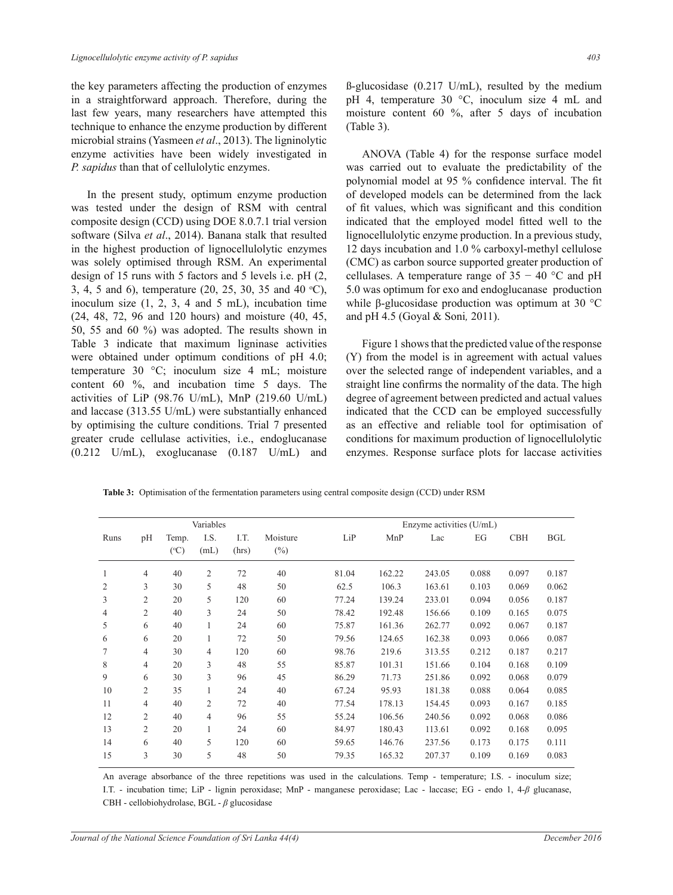the key parameters affecting the production of enzymes in a straightforward approach. Therefore, during the last few years, many researchers have attempted this technique to enhance the enzyme production by different microbial strains (Yasmeen *et al*., 2013). The ligninolytic enzyme activities have been widely investigated in *P. sapidus* than that of cellulolytic enzymes.

 In the present study, optimum enzyme production was tested under the design of RSM with central composite design (CCD) using DOE 8.0.7.1 trial version software (Silva *et al*., 2014). Banana stalk that resulted in the highest production of lignocellulolytic enzymes was solely optimised through RSM. An experimental design of 15 runs with 5 factors and 5 levels i.e. pH (2, 3, 4, 5 and 6), temperature  $(20, 25, 30, 35, 40, 40, 60)$ , inoculum size  $(1, 2, 3, 4, 5, 5, 6)$  incubation time (24, 48, 72, 96 and 120 hours) and moisture (40, 45, 50, 55 and 60 %) was adopted. The results shown in Table 3 indicate that maximum ligninase activities were obtained under optimum conditions of pH 4.0; temperature 30 °C; inoculum size 4 mL; moisture content 60 %, and incubation time 5 days. The activities of LiP (98.76 U/mL), MnP (219.60 U/mL) and laccase (313.55 U/mL) were substantially enhanced by optimising the culture conditions. Trial 7 presented greater crude cellulase activities, i.e., endoglucanase (0.212 U/mL), exoglucanase (0.187 U/mL) and

 $\beta$ -glucosidase (0.217 U/mL), resulted by the medium pH 4, temperature 30 °C, inoculum size 4 mL and moisture content 60 %, after 5 days of incubation (Table 3).

 ANOVA (Table 4) for the response surface model was carried out to evaluate the predictability of the polynomial model at 95 % confidence interval. The fit of developed models can be determined from the lack of fit values, which was significant and this condition indicated that the employed model fitted well to the lignocellulolytic enzyme production. In a previous study, 12 days incubation and 1.0 % carboxyl-methyl cellulose (CMC) as carbon source supported greater production of cellulases. A temperature range of  $35 - 40$  °C and pH 5.0 was optimum for exo and endoglucanase production while  $\beta$ -glucosidase production was optimum at 30 °C and pH 4.5 (Goyal & Soni*,* 2011).

 Figure 1 shows that the predicted value of the response (Y) from the model is in agreement with actual values over the selected range of independent variables, and a straight line confirms the normality of the data. The high degree of agreement between predicted and actual values indicated that the CCD can be employed successfully as an effective and reliable tool for optimisation of conditions for maximum production of lignocellulolytic enzymes. Response surface plots for laccase activities

**Table 3:** Optimisation of the fermentation parameters using central composite design (CCD) under RSM

|                |                |                 | Variables      |       |          |       |        | Enzyme activities (U/mL) |       |            |            |
|----------------|----------------|-----------------|----------------|-------|----------|-------|--------|--------------------------|-------|------------|------------|
| Runs           | pH             | Temp.           | I.S.           | I.T.  | Moisture | LiP   | MnP    | Lac                      | EG    | <b>CBH</b> | <b>BGL</b> |
|                |                | $({}^{\circ}C)$ | (mL)           | (hrs) | $(\%)$   |       |        |                          |       |            |            |
| $\mathbf{1}$   | $\overline{4}$ | 40              | 2              | 72    | 40       | 81.04 | 162.22 | 243.05                   | 0.088 | 0.097      | 0.187      |
| $\overline{2}$ | 3              | 30              | 5              | 48    | 50       | 62.5  | 106.3  | 163.61                   | 0.103 | 0.069      | 0.062      |
| 3              | $\overline{2}$ | 20              | 5              | 120   | 60       | 77.24 | 139.24 | 233.01                   | 0.094 | 0.056      | 0.187      |
| 4              | $\overline{2}$ | 40              | 3              | 24    | 50       | 78.42 | 192.48 | 156.66                   | 0.109 | 0.165      | 0.075      |
| 5              | 6              | 40              | 1              | 24    | 60       | 75.87 | 161.36 | 262.77                   | 0.092 | 0.067      | 0.187      |
| 6              | 6              | 20              | 1              | 72    | 50       | 79.56 | 124.65 | 162.38                   | 0.093 | 0.066      | 0.087      |
| 7              | $\overline{4}$ | 30              | $\overline{4}$ | 120   | 60       | 98.76 | 219.6  | 313.55                   | 0.212 | 0.187      | 0.217      |
| 8              | $\overline{4}$ | 20              | 3              | 48    | 55       | 85.87 | 101.31 | 151.66                   | 0.104 | 0.168      | 0.109      |
| 9              | 6              | 30              | 3              | 96    | 45       | 86.29 | 71.73  | 251.86                   | 0.092 | 0.068      | 0.079      |
| 10             | 2              | 35              | 1              | 24    | 40       | 67.24 | 95.93  | 181.38                   | 0.088 | 0.064      | 0.085      |
| 11             | $\overline{4}$ | 40              | $\overline{2}$ | 72    | 40       | 77.54 | 178.13 | 154.45                   | 0.093 | 0.167      | 0.185      |
| 12             | 2              | 40              | $\overline{4}$ | 96    | 55       | 55.24 | 106.56 | 240.56                   | 0.092 | 0.068      | 0.086      |
| 13             | 2              | 20              |                | 24    | 60       | 84.97 | 180.43 | 113.61                   | 0.092 | 0.168      | 0.095      |
| 14             | 6              | 40              | 5              | 120   | 60       | 59.65 | 146.76 | 237.56                   | 0.173 | 0.175      | 0.111      |
| 15             | 3              | 30              | 5              | 48    | 50       | 79.35 | 165.32 | 207.37                   | 0.109 | 0.169      | 0.083      |

An average absorbance of the three repetitions was used in the calculations. Temp - temperature; I.S. - inoculum size; I.T. - incubation time; LiP - lignin peroxidase; MnP - manganese peroxidase; Lac - laccase; EG - endo 1, 4-*ȕ* glucanase, CBH - cellobiohydrolase, BGL - *ȕ* glucosidase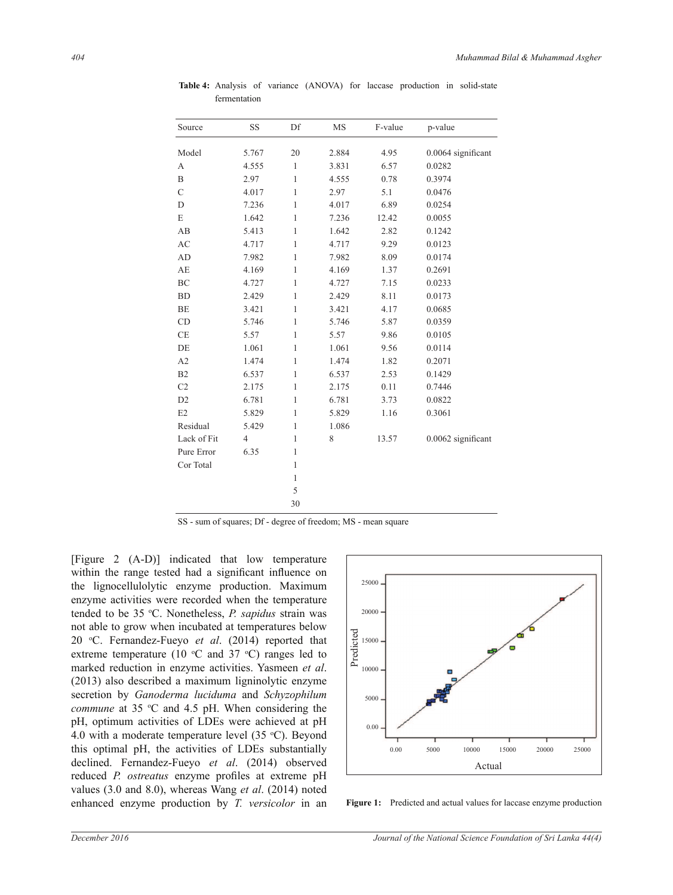| Source           | SS             | Df           | <b>MS</b> | F-value | p-value            |
|------------------|----------------|--------------|-----------|---------|--------------------|
| Model            | 5.767          | 20           | 2.884     | 4.95    | 0.0064 significant |
| А                | 4.555          | $\mathbf{1}$ | 3.831     | 6.57    | 0.0282             |
| $\boldsymbol{B}$ | 2.97           | $\mathbf{1}$ | 4.555     | 0.78    | 0.3974             |
| $\mathcal{C}$    | 4.017          | $\mathbf{1}$ | 2.97      | 5.1     | 0.0476             |
| D                | 7.236          | $\mathbf{1}$ | 4.017     | 6.89    | 0.0254             |
| $\mathbf E$      | 1.642          | $\mathbf{1}$ | 7.236     | 12.42   | 0.0055             |
| AB               | 5.413          | $\mathbf{1}$ | 1.642     | 2.82    | 0.1242             |
| AC               | 4.717          | 1            | 4.717     | 9.29    | 0.0123             |
| AD               | 7.982          | $\mathbf{1}$ | 7.982     | 8.09    | 0.0174             |
| AE               | 4.169          | $\mathbf{1}$ | 4.169     | 1.37    | 0.2691             |
| BC               | 4.727          | 1            | 4.727     | 7.15    | 0.0233             |
| <b>BD</b>        | 2.429          | $\mathbf{1}$ | 2.429     | 8.11    | 0.0173             |
| <b>BE</b>        | 3.421          | $\mathbf{1}$ | 3.421     | 4.17    | 0.0685             |
| CD               | 5.746          | $\mathbf{1}$ | 5.746     | 5.87    | 0.0359             |
| CE               | 5.57           | 1            | 5.57      | 9.86    | 0.0105             |
| DE               | 1.061          | $\mathbf{1}$ | 1.061     | 9.56    | 0.0114             |
| A2               | 1.474          | $\mathbf{1}$ | 1.474     | 1.82    | 0.2071             |
| B2               | 6.537          | $\mathbf{1}$ | 6.537     | 2.53    | 0.1429             |
| C <sub>2</sub>   | 2.175          | $\mathbf{1}$ | 2.175     | 0.11    | 0.7446             |
| D <sub>2</sub>   | 6.781          | 1            | 6.781     | 3.73    | 0.0822             |
| E <sub>2</sub>   | 5.829          | $\mathbf{1}$ | 5.829     | 1.16    | 0.3061             |
| Residual         | 5.429          | 1            | 1.086     |         |                    |
| Lack of Fit      | $\overline{4}$ | $\mathbf{1}$ | 8         | 13.57   | 0.0062 significant |
| Pure Error       | 6.35           | 1            |           |         |                    |
| Cor Total        |                | 1            |           |         |                    |
|                  |                | $\mathbf{1}$ |           |         |                    |
|                  |                | 5            |           |         |                    |
|                  |                | 30           |           |         |                    |

Table 4: Analysis of variance (ANOVA) for laccase production in solid-state fermentation

SS - sum of squares; Df - degree of freedom; MS - mean square

[Figure 2 (A-D)] indicated that low temperature within the range tested had a significant influence on the lignocellulolytic enzyme production. Maximum enzyme activities were recorded when the temperature tended to be 35 °C. Nonetheless, *P. sapidus* strain was not able to grow when incubated at temperatures below 20 <sup>o</sup>C. Fernandez-Fueyo *et al*. (2014) reported that extreme temperature (10  $\degree$ C and 37  $\degree$ C) ranges led to marked reduction in enzyme activities. Yasmeen *et al*. (2013) also described a maximum ligninolytic enzyme secretion by *Ganoderma luciduma* and *Schyzophilum commune* at 35 °C and 4.5 pH. When considering the pH, optimum activities of LDEs were achieved at pH 4.0 with a moderate temperature level  $(35 \degree C)$ . Beyond this optimal pH, the activities of LDEs substantially declined. Fernandez-Fueyo *et al*. (2014) observed reduced *P. ostreatus* enzyme profiles at extreme pH values (3.0 and 8.0), whereas Wang *et al*. (2014) noted enhanced enzyme production by *T. versicolor* in an



Figure 1: Predicted and actual values for laccase enzyme production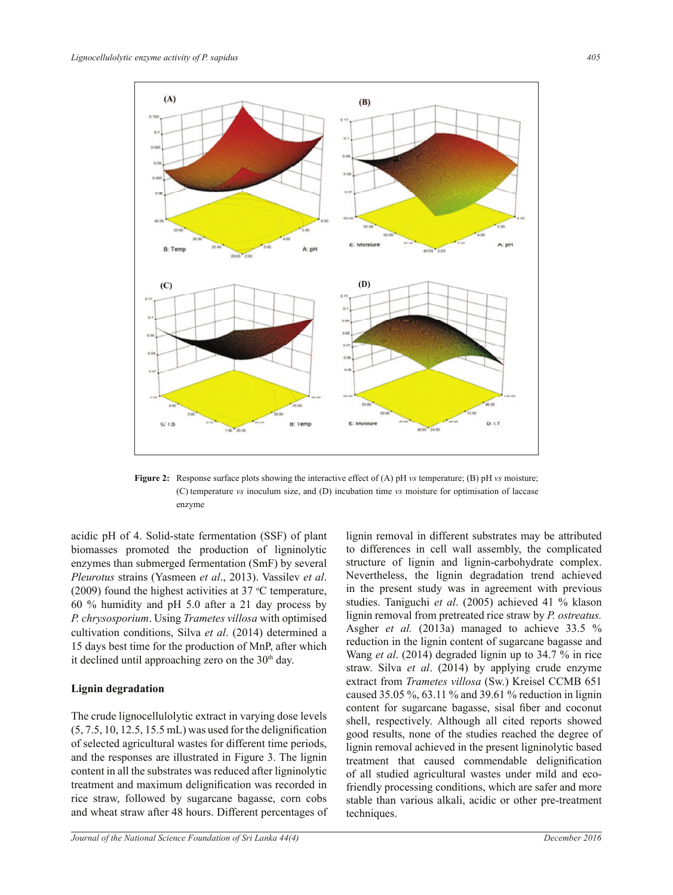

**Figure 2:** Response surface plots showing the interactive effect of (A) pH *vs* temperature; (B) pH *vs* moisture; (C) temperature *vs* inoculum size, and (D) incubation time *vs* moisture for optimisation of laccase enzyme

acidic pH of 4. Solid-state fermentation (SSF) of plant biomasses promoted the production of ligninolytic enzymes than submerged fermentation (SmF) by several *Pleurotus* strains (Yasmeen *et al*., 2013). Vassilev *et al*. (2009) found the highest activities at  $37$  °C temperature, 60 % humidity and pH 5.0 after a 21 day process by *P. chrysosporium*. Using *Trametes villosa* with optimised cultivation conditions, Silva *et al*. (2014) determined a 15 days best time for the production of MnP, after which it declined until approaching zero on the  $30<sup>th</sup>$  day.

#### **Lignin degradation**

The crude lignocellulolytic extract in varying dose levels  $(5, 7.5, 10, 12.5, 15.5 \,\text{mL})$  was used for the delignification of selected agricultural wastes for different time periods, and the responses are illustrated in Figure 3. The lignin content in all the substrates was reduced after ligninolytic treatment and maximum delignification was recorded in rice straw, followed by sugarcane bagasse, corn cobs and wheat straw after 48 hours. Different percentages of to differences in cell wall assembly, the complicated structure of lignin and lignin-carbohydrate complex. Nevertheless, the lignin degradation trend achieved in the present study was in agreement with previous studies. Taniguchi *et al*. (2005) achieved 41 % klason lignin removal from pretreated rice straw by *P. ostreatus.* Asgher *et al.* (2013a) managed to achieve 33.5 % reduction in the lignin content of sugarcane bagasse and Wang *et al*. (2014) degraded lignin up to 34.7 % in rice straw. Silva *et al*. (2014) by applying crude enzyme extract from *Trametes villosa* (Sw.) Kreisel CCMB 651 caused 35.05 %, 63.11 % and 39.61 % reduction in lignin content for sugarcane bagasse, sisal fiber and coconut shell, respectively. Although all cited reports showed good results, none of the studies reached the degree of lignin removal achieved in the present ligninolytic based treatment that caused commendable delignification of all studied agricultural wastes under mild and ecofriendly processing conditions, which are safer and more stable than various alkali, acidic or other pre-treatment techniques.

lignin removal in different substrates may be attributed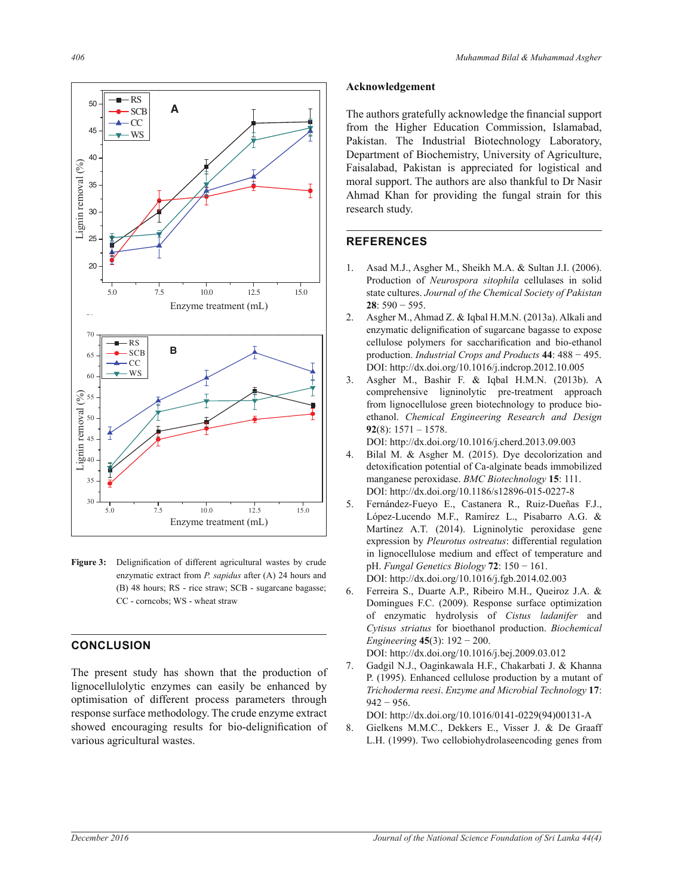

Figure 3: Delignification of different agricultural wastes by crude enzymatic extract from *P. sapidus* after (A) 24 hours and (B) 48 hours; RS - rice straw; SCB - sugarcane bagasse; CC - corncobs; WS - wheat straw

### **CONCLUSION**

The present study has shown that the production of lignocellulolytic enzymes can easily be enhanced by optimisation of different process parameters through response surface methodology. The crude enzyme extract showed encouraging results for bio-delignification of various agricultural wastes.

#### $\bf Acknowledgement$

The authors gratefully acknowledge the financial support from the Higher Education Commission, Islamabad, Pakistan. The Industrial Biotechnology Laboratory, Department of Biochemistry, University of Agriculture, Faisalabad, Pakistan is appreciated for logistical and moral support. The authors are also thankful to Dr Nasir Ahmad Khan for providing the fungal strain for this research study.

### **REFERENCES**

- 1. Asad M.J., Asgher M., Sheikh M.A. & Sultan J.I. (2006). Production of *Neurospora sitophila* cellulases in solid state cultures. *Journal of the Chemical Society of Pakistan* 28:  $590 - 595$ .
- 2. Asgher M., Ahmad Z. & Iqbal H.M.N. (2013a). Alkali and enzymatic delignification of sugarcane bagasse to expose cellulose polymers for saccharification and bio-ethanol production. *Industrial Crops and Products* **44**í DOI: http://dx.doi.org/10.1016/j.indcrop.2012.10.005
- 3. Asgher M., Bashir F. & Iqbal H.M.N. (2013b). A comprehensive ligninolytic pre-treatment approach from lignocellulose green biotechnology to produce bioethanol. *Chemical Engineering Research and Design* **92**(8): 1571 – 1578.

DOI: http://dx.doi.org/10.1016/j.cherd.2013.09.003

- 4. Bilal M. & Asgher M. (2015). Dye decolorization and detoxification potential of Ca-alginate beads immobilized manganese peroxidase. *BMC Biotechnology* **15**: 111. DOI: http://dx.doi.org/10.1186/s12896-015-0227-8
- 5. Fernández-Fueyo E., Castanera R., Ruiz-Dueñas F.J., López-Lucendo M.F., Ramírez L., Pisabarro A.G. & Martínez A.T. (2014). Ligninolytic peroxidase gene expression by *Pleurotus ostreatus*: differential regulation in lignocellulose medium and effect of temperature and pH. *Fungal Genetics Biology* **72**í DOI: http://dx.doi.org/10.1016/j.fgb.2014.02.003
- 6. Ferreira S., Duarte A.P., Ribeiro M.H., Queiroz J.A. & Domingues F.C. (2009). Response surface optimization of enzymatic hydrolysis of *Cistus ladanifer* and *Cytisus striatus* for bioethanol production. *Biochemical Engineering* 45(3):  $192 - 200$ .

DOI: http://dx.doi.org/10.1016/j.bej.2009.03.012

7. Gadgil N.J., Oaginkawala H.F., Chakarbati J. & Khanna P. (1995). Enhanced cellulose production by a mutant of *Trichoderma reesi*. *Enzyme and Microbial Technology* **17**:  $942 - 956$ .

DOI: http://dx.doi.org/10.1016/0141-0229(94)00131-A

8. Gielkens M.M.C., Dekkers E., Visser J. & De Graaff L.H. (1999). Two cellobiohydrolaseencoding genes from